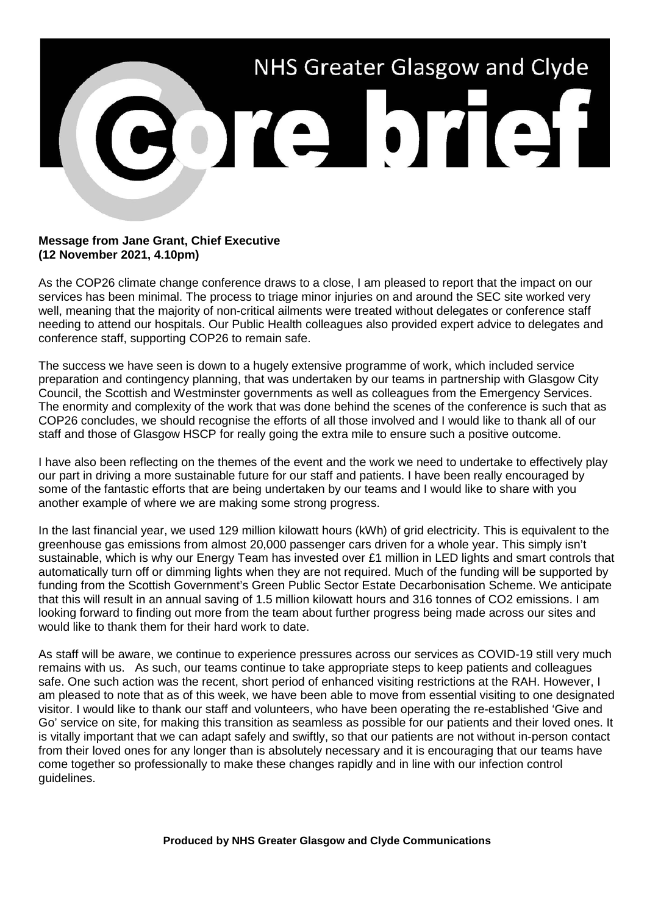

## **Message from Jane Grant, Chief Executive (12 November 2021, 4.10pm)**

As the COP26 climate change conference draws to a close, I am pleased to report that the impact on our services has been minimal. The process to triage minor injuries on and around the SEC site worked very well, meaning that the majority of non-critical ailments were treated without delegates or conference staff needing to attend our hospitals. Our Public Health colleagues also provided expert advice to delegates and conference staff, supporting COP26 to remain safe.

The success we have seen is down to a hugely extensive programme of work, which included service preparation and contingency planning, that was undertaken by our teams in partnership with Glasgow City Council, the Scottish and Westminster governments as well as colleagues from the Emergency Services. The enormity and complexity of the work that was done behind the scenes of the conference is such that as COP26 concludes, we should recognise the efforts of all those involved and I would like to thank all of our staff and those of Glasgow HSCP for really going the extra mile to ensure such a positive outcome.

I have also been reflecting on the themes of the event and the work we need to undertake to effectively play our part in driving a more sustainable future for our staff and patients. I have been really encouraged by some of the fantastic efforts that are being undertaken by our teams and I would like to share with you another example of where we are making some strong progress.

In the last financial year, we used 129 million kilowatt hours (kWh) of grid electricity. This is equivalent to the greenhouse gas emissions from almost 20,000 passenger cars driven for a whole year. This simply isn't sustainable, which is why our Energy Team has invested over £1 million in LED lights and smart controls that automatically turn off or dimming lights when they are not required. Much of the funding will be supported by funding from the Scottish Government's Green Public Sector Estate Decarbonisation Scheme. We anticipate that this will result in an annual saving of 1.5 million kilowatt hours and 316 tonnes of CO2 emissions. I am looking forward to finding out more from the team about further progress being made across our sites and would like to thank them for their hard work to date.

As staff will be aware, we continue to experience pressures across our services as COVID-19 still very much remains with us. As such, our teams continue to take appropriate steps to keep patients and colleagues safe. One such action was the recent, short period of enhanced visiting restrictions at the RAH. However, I am pleased to note that as of this week, we have been able to move from essential visiting to one designated visitor. I would like to thank our staff and volunteers, who have been operating the re-established 'Give and Go' service on site, for making this transition as seamless as possible for our patients and their loved ones. It is vitally important that we can adapt safely and swiftly, so that our patients are not without in-person contact from their loved ones for any longer than is absolutely necessary and it is encouraging that our teams have come together so professionally to make these changes rapidly and in line with our infection control guidelines.